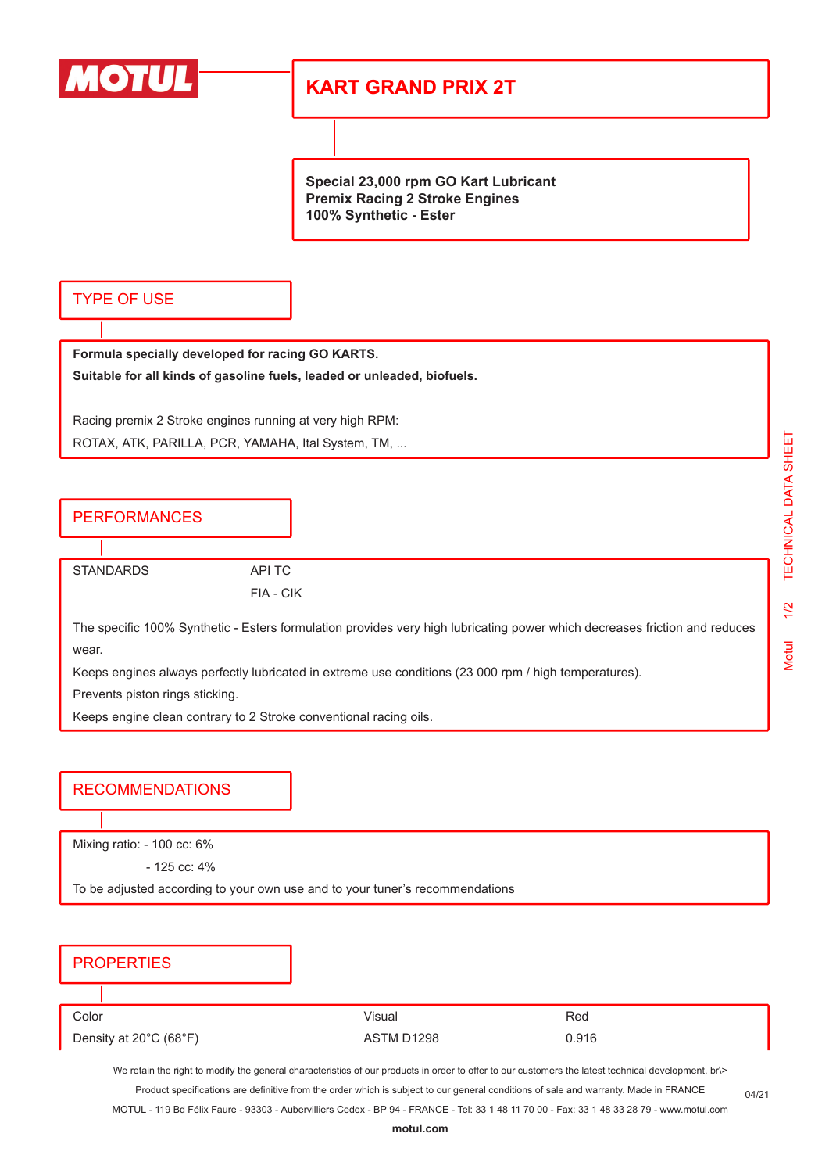

## **KART GRAND PRIX 2T**

**Special 23,000 rpm GO Kart Lubricant Premix Racing 2 Stroke Engines 100% Synthetic - Ester**

## TYPE OF USE

**Formula specially developed for racing GO KARTS. Suitable for all kinds of gasoline fuels, leaded or unleaded, biofuels.**

Racing premix 2 Stroke engines running at very high RPM: ROTAX, ATK, PARILLA, PCR, YAMAHA, Ital System, TM, ...

**PERFORMANCES** 

STANDARDS API TC

FIA - CIK

The specific 100% Synthetic - Esters formulation provides very high lubricating power which decreases friction and reduces wear.

Keeps engines always perfectly lubricated in extreme use conditions (23 000 rpm / high temperatures).

Prevents piston rings sticking.

Keeps engine clean contrary to 2 Stroke conventional racing oils.

## RECOMMENDATIONS

Mixing ratio: - 100 cc: 6%

- 125 cc: 4%

To be adjusted according to your own use and to your tuner's recommendations